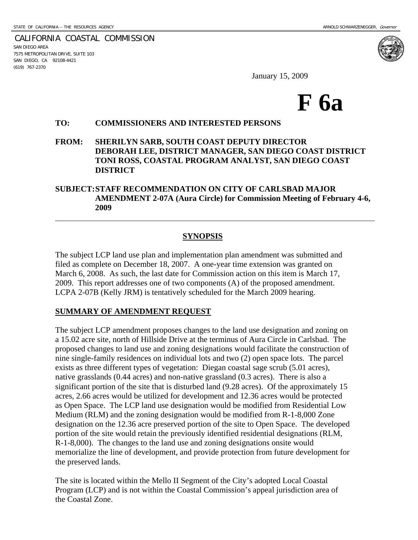l

 CALIFORNIA COASTAL COMMISSION SAN DIEGO AREA 7575 METROPOLITAN DRIVE, SUITE 103 SAN DIEGO, CA 92108-4421 (619) 767-2370

January 15, 2009

# **F 6a**

#### **TO: COMMISSIONERS AND INTERESTED PERSONS**

#### **FROM: SHERILYN SARB, SOUTH COAST DEPUTY DIRECTOR DEBORAH LEE, DISTRICT MANAGER, SAN DIEGO COAST DISTRICT TONI ROSS, COASTAL PROGRAM ANALYST, SAN DIEGO COAST DISTRICT**

#### **SUBJECT: STAFF RECOMMENDATION ON CITY OF CARLSBAD MAJOR AMENDMENT 2-07A (Aura Circle) for Commission Meeting of February 4-6, 2009**

#### **SYNOPSIS**

The subject LCP land use plan and implementation plan amendment was submitted and filed as complete on December 18, 2007. A one-year time extension was granted on March 6, 2008. As such, the last date for Commission action on this item is March 17, 2009. This report addresses one of two components (A) of the proposed amendment. LCPA 2-07B (Kelly JRM) is tentatively scheduled for the March 2009 hearing.

#### **SUMMARY OF AMENDMENT REQUEST**

The subject LCP amendment proposes changes to the land use designation and zoning on a 15.02 acre site, north of Hillside Drive at the terminus of Aura Circle in Carlsbad. The proposed changes to land use and zoning designations would facilitate the construction of nine single-family residences on individual lots and two (2) open space lots. The parcel exists as three different types of vegetation: Diegan coastal sage scrub (5.01 acres), native grasslands (0.44 acres) and non-native grassland (0.3 acres). There is also a significant portion of the site that is disturbed land (9.28 acres). Of the approximately 15 acres, 2.66 acres would be utilized for development and 12.36 acres would be protected as Open Space. The LCP land use designation would be modified from Residential Low Medium (RLM) and the zoning designation would be modified from R-1-8,000 Zone designation on the 12.36 acre preserved portion of the site to Open Space. The developed portion of the site would retain the previously identified residential designations (RLM, R-1-8,000). The changes to the land use and zoning designations onsite would memorialize the line of development, and provide protection from future development for the preserved lands.

The site is located within the Mello II Segment of the City's adopted Local Coastal Program (LCP) and is not within the Coastal Commission's appeal jurisdiction area of the Coastal Zone.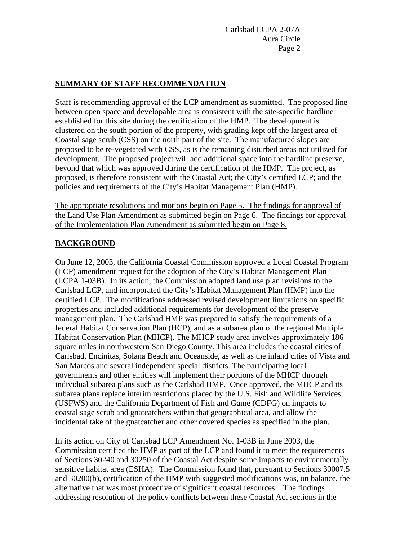#### **SUMMARY OF STAFF RECOMMENDATION**

Staff is recommending approval of the LCP amendment as submitted. The proposed line between open space and developable area is consistent with the site-specific hardline established for this site during the certification of the HMP. The development is clustered on the south portion of the property, with grading kept off the largest area of Coastal sage scrub (CSS) on the north part of the site. The manufactured slopes are proposed to be re-vegetated with CSS, as is the remaining disturbed areas not utilized for development. The proposed project will add additional space into the hardline preserve, beyond that which was approved during the certification of the HMP. The project, as proposed, is therefore consistent with the Coastal Act; the City's certified LCP; and the policies and requirements of the City's Habitat Management Plan (HMP).

The appropriate resolutions and motions begin on Page 5. The findings for approval of the Land Use Plan Amendment as submitted begin on Page 6. The findings for approval of the Implementation Plan Amendment as submitted begin on Page 8.

# **BACKGROUND**

On June 12, 2003, the California Coastal Commission approved a Local Coastal Program (LCP) amendment request for the adoption of the City's Habitat Management Plan (LCPA 1-03B). In its action, the Commission adopted land use plan revisions to the Carlsbad LCP, and incorporated the City's Habitat Management Plan (HMP) into the certified LCP. The modifications addressed revised development limitations on specific properties and included additional requirements for development of the preserve management plan. The Carlsbad HMP was prepared to satisfy the requirements of a federal Habitat Conservation Plan (HCP), and as a subarea plan of the regional Multiple Habitat Conservation Plan (MHCP). The MHCP study area involves approximately 186 square miles in northwestern San Diego County. This area includes the coastal cities of Carlsbad, Encinitas, Solana Beach and Oceanside, as well as the inland cities of Vista and San Marcos and several independent special districts. The participating local governments and other entities will implement their portions of the MHCP through individual subarea plans such as the Carlsbad HMP. Once approved, the MHCP and its subarea plans replace interim restrictions placed by the U.S. Fish and Wildlife Services (USFWS) and the California Department of Fish and Game (CDFG) on impacts to coastal sage scrub and gnatcatchers within that geographical area, and allow the incidental take of the gnatcatcher and other covered species as specified in the plan.

In its action on City of Carlsbad LCP Amendment No. 1-03B in June 2003, the Commission certified the HMP as part of the LCP and found it to meet the requirements of Sections 30240 and 30250 of the Coastal Act despite some impacts to environmentally sensitive habitat area (ESHA). The Commission found that, pursuant to Sections 30007.5 and 30200(b), certification of the HMP with suggested modifications was, on balance, the alternative that was most protective of significant coastal resources. The findings addressing resolution of the policy conflicts between these Coastal Act sections in the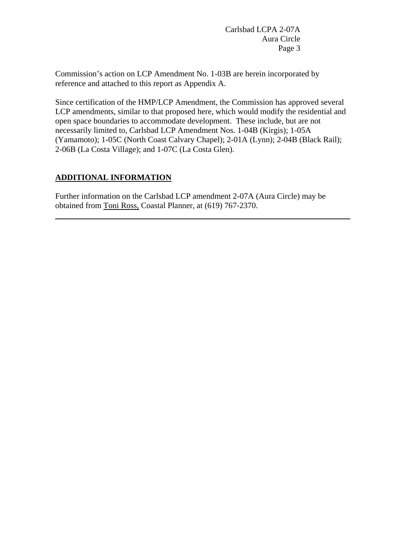Commission's action on LCP Amendment No. 1-03B are herein incorporated by reference and attached to this report as Appendix A.

Since certification of the HMP/LCP Amendment, the Commission has approved several LCP amendments, similar to that proposed here, which would modify the residential and open space boundaries to accommodate development. These include, but are not necessarily limited to, Carlsbad LCP Amendment Nos. 1-04B (Kirgis); 1-05A (Yamamoto); 1-05C (North Coast Calvary Chapel); 2-01A (Lynn); 2-04B (Black Rail); 2-06B (La Costa Village); and 1-07C (La Costa Glen).

# **ADDITIONAL INFORMATION**

 $\overline{a}$ 

Further information on the Carlsbad LCP amendment 2-07A (Aura Circle) may be obtained from Toni Ross, Coastal Planner, at (619) 767-2370.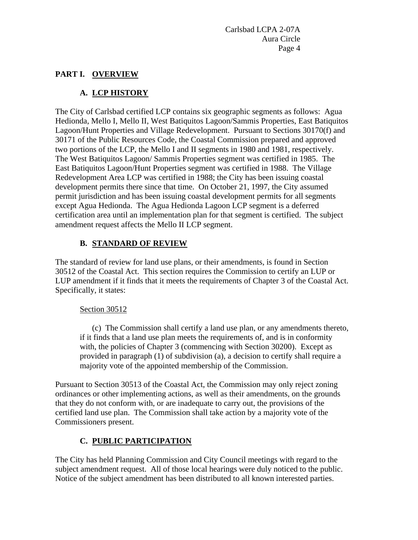# **PART I. OVERVIEW**

# **A. LCP HISTORY**

The City of Carlsbad certified LCP contains six geographic segments as follows: Agua Hedionda, Mello I, Mello II, West Batiquitos Lagoon/Sammis Properties, East Batiquitos Lagoon/Hunt Properties and Village Redevelopment. Pursuant to Sections 30170(f) and 30171 of the Public Resources Code, the Coastal Commission prepared and approved two portions of the LCP, the Mello I and II segments in 1980 and 1981, respectively. The West Batiquitos Lagoon/ Sammis Properties segment was certified in 1985. The East Batiquitos Lagoon/Hunt Properties segment was certified in 1988. The Village Redevelopment Area LCP was certified in 1988; the City has been issuing coastal development permits there since that time. On October 21, 1997, the City assumed permit jurisdiction and has been issuing coastal development permits for all segments except Agua Hedionda. The Agua Hedionda Lagoon LCP segment is a deferred certification area until an implementation plan for that segment is certified. The subject amendment request affects the Mello II LCP segment.

# **B. STANDARD OF REVIEW**

The standard of review for land use plans, or their amendments, is found in Section 30512 of the Coastal Act. This section requires the Commission to certify an LUP or LUP amendment if it finds that it meets the requirements of Chapter 3 of the Coastal Act. Specifically, it states:

#### Section 30512

(c) The Commission shall certify a land use plan, or any amendments thereto, if it finds that a land use plan meets the requirements of, and is in conformity with, the policies of Chapter 3 (commencing with Section 30200). Except as provided in paragraph (1) of subdivision (a), a decision to certify shall require a majority vote of the appointed membership of the Commission.

Pursuant to Section 30513 of the Coastal Act, the Commission may only reject zoning ordinances or other implementing actions, as well as their amendments, on the grounds that they do not conform with, or are inadequate to carry out, the provisions of the certified land use plan. The Commission shall take action by a majority vote of the Commissioners present.

# **C. PUBLIC PARTICIPATION**

The City has held Planning Commission and City Council meetings with regard to the subject amendment request. All of those local hearings were duly noticed to the public. Notice of the subject amendment has been distributed to all known interested parties.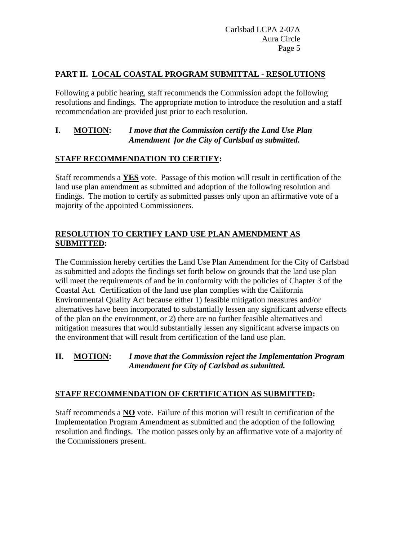# **PART II. LOCAL COASTAL PROGRAM SUBMITTAL - RESOLUTIONS**

Following a public hearing, staff recommends the Commission adopt the following resolutions and findings. The appropriate motion to introduce the resolution and a staff recommendation are provided just prior to each resolution.

#### **I. MOTION:** *I move that the Commission certify the Land Use Plan Amendment for the City of Carlsbad as submitted.*

#### **STAFF RECOMMENDATION TO CERTIFY:**

Staff recommends a **YES** vote. Passage of this motion will result in certification of the land use plan amendment as submitted and adoption of the following resolution and findings. The motion to certify as submitted passes only upon an affirmative vote of a majority of the appointed Commissioners.

#### **RESOLUTION TO CERTIFY LAND USE PLAN AMENDMENT AS SUBMITTED:**

The Commission hereby certifies the Land Use Plan Amendment for the City of Carlsbad as submitted and adopts the findings set forth below on grounds that the land use plan will meet the requirements of and be in conformity with the policies of Chapter 3 of the Coastal Act. Certification of the land use plan complies with the California Environmental Quality Act because either 1) feasible mitigation measures and/or alternatives have been incorporated to substantially lessen any significant adverse effects of the plan on the environment, or 2) there are no further feasible alternatives and mitigation measures that would substantially lessen any significant adverse impacts on the environment that will result from certification of the land use plan.

#### **II. MOTION:** *I move that the Commission reject the Implementation Program Amendment for City of Carlsbad as submitted.*

#### **STAFF RECOMMENDATION OF CERTIFICATION AS SUBMITTED:**

Staff recommends a **NO** vote. Failure of this motion will result in certification of the Implementation Program Amendment as submitted and the adoption of the following resolution and findings. The motion passes only by an affirmative vote of a majority of the Commissioners present.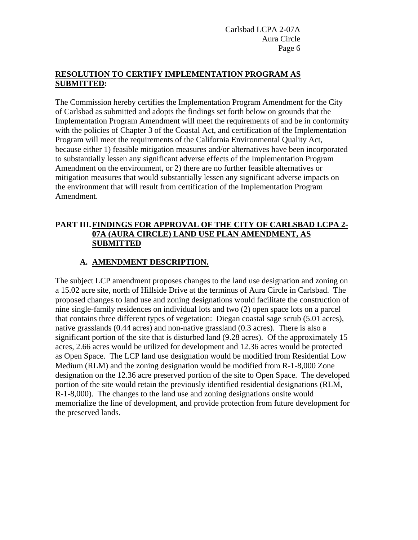#### **RESOLUTION TO CERTIFY IMPLEMENTATION PROGRAM AS SUBMITTED:**

The Commission hereby certifies the Implementation Program Amendment for the City of Carlsbad as submitted and adopts the findings set forth below on grounds that the Implementation Program Amendment will meet the requirements of and be in conformity with the policies of Chapter 3 of the Coastal Act, and certification of the Implementation Program will meet the requirements of the California Environmental Quality Act, because either 1) feasible mitigation measures and/or alternatives have been incorporated to substantially lessen any significant adverse effects of the Implementation Program Amendment on the environment, or 2) there are no further feasible alternatives or mitigation measures that would substantially lessen any significant adverse impacts on the environment that will result from certification of the Implementation Program Amendment.

# **PART III. FINDINGS FOR APPROVAL OF THE CITY OF CARLSBAD LCPA 2- 07A (AURA CIRCLE) LAND USE PLAN AMENDMENT, AS SUBMITTED**

# **A. AMENDMENT DESCRIPTION.**

The subject LCP amendment proposes changes to the land use designation and zoning on a 15.02 acre site, north of Hillside Drive at the terminus of Aura Circle in Carlsbad. The proposed changes to land use and zoning designations would facilitate the construction of nine single-family residences on individual lots and two (2) open space lots on a parcel that contains three different types of vegetation: Diegan coastal sage scrub (5.01 acres), native grasslands (0.44 acres) and non-native grassland (0.3 acres). There is also a significant portion of the site that is disturbed land (9.28 acres). Of the approximately 15 acres, 2.66 acres would be utilized for development and 12.36 acres would be protected as Open Space. The LCP land use designation would be modified from Residential Low Medium (RLM) and the zoning designation would be modified from R-1-8,000 Zone designation on the 12.36 acre preserved portion of the site to Open Space. The developed portion of the site would retain the previously identified residential designations (RLM, R-1-8,000). The changes to the land use and zoning designations onsite would memorialize the line of development, and provide protection from future development for the preserved lands.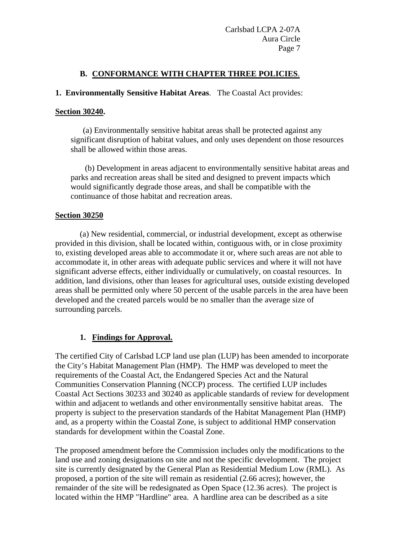#### **B. CONFORMANCE WITH CHAPTER THREE POLICIES**.

#### **1. Environmentally Sensitive Habitat Areas**. The Coastal Act provides:

#### **Section 30240.**

 (a) Environmentally sensitive habitat areas shall be protected against any significant disruption of habitat values, and only uses dependent on those resources shall be allowed within those areas.

 (b) Development in areas adjacent to environmentally sensitive habitat areas and parks and recreation areas shall be sited and designed to prevent impacts which would significantly degrade those areas, and shall be compatible with the continuance of those habitat and recreation areas.

#### **Section 30250**

 (a) New residential, commercial, or industrial development, except as otherwise provided in this division, shall be located within, contiguous with, or in close proximity to, existing developed areas able to accommodate it or, where such areas are not able to accommodate it, in other areas with adequate public services and where it will not have significant adverse effects, either individually or cumulatively, on coastal resources. In addition, land divisions, other than leases for agricultural uses, outside existing developed areas shall be permitted only where 50 percent of the usable parcels in the area have been developed and the created parcels would be no smaller than the average size of surrounding parcels.

#### **1. Findings for Approval.**

The certified City of Carlsbad LCP land use plan (LUP) has been amended to incorporate the City's Habitat Management Plan (HMP). The HMP was developed to meet the requirements of the Coastal Act, the Endangered Species Act and the Natural Communities Conservation Planning (NCCP) process. The certified LUP includes Coastal Act Sections 30233 and 30240 as applicable standards of review for development within and adjacent to wetlands and other environmentally sensitive habitat areas. The property is subject to the preservation standards of the Habitat Management Plan (HMP) and, as a property within the Coastal Zone, is subject to additional HMP conservation standards for development within the Coastal Zone.

The proposed amendment before the Commission includes only the modifications to the land use and zoning designations on site and not the specific development. The project site is currently designated by the General Plan as Residential Medium Low (RML). As proposed, a portion of the site will remain as residential (2.66 acres); however, the remainder of the site will be redesignated as Open Space (12.36 acres). The project is located within the HMP "Hardline" area. A hardline area can be described as a site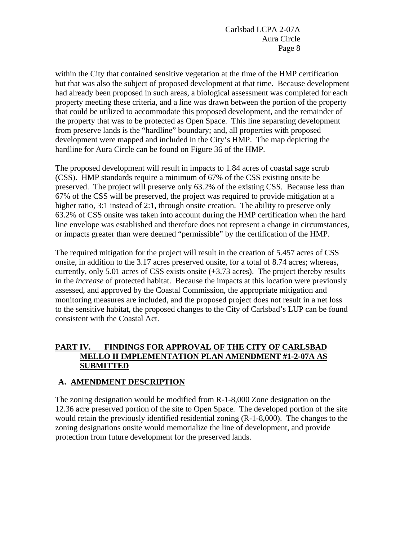within the City that contained sensitive vegetation at the time of the HMP certification but that was also the subject of proposed development at that time. Because development had already been proposed in such areas, a biological assessment was completed for each property meeting these criteria, and a line was drawn between the portion of the property that could be utilized to accommodate this proposed development, and the remainder of the property that was to be protected as Open Space. This line separating development from preserve lands is the "hardline" boundary; and, all properties with proposed development were mapped and included in the City's HMP. The map depicting the hardline for Aura Circle can be found on Figure 36 of the HMP.

The proposed development will result in impacts to 1.84 acres of coastal sage scrub (CSS). HMP standards require a minimum of 67% of the CSS existing onsite be preserved. The project will preserve only 63.2% of the existing CSS. Because less than 67% of the CSS will be preserved, the project was required to provide mitigation at a higher ratio, 3:1 instead of 2:1, through onsite creation. The ability to preserve only 63.2% of CSS onsite was taken into account during the HMP certification when the hard line envelope was established and therefore does not represent a change in circumstances, or impacts greater than were deemed "permissible" by the certification of the HMP.

The required mitigation for the project will result in the creation of 5.457 acres of CSS onsite, in addition to the 3.17 acres preserved onsite, for a total of 8.74 acres; whereas, currently, only 5.01 acres of CSS exists onsite (+3.73 acres). The project thereby results in the *increase* of protected habitat. Because the impacts at this location were previously assessed, and approved by the Coastal Commission, the appropriate mitigation and monitoring measures are included, and the proposed project does not result in a net loss to the sensitive habitat, the proposed changes to the City of Carlsbad's LUP can be found consistent with the Coastal Act.

# **PART IV. FINDINGS FOR APPROVAL OF THE CITY OF CARLSBAD MELLO II IMPLEMENTATION PLAN AMENDMENT #1-2-07A AS SUBMITTED**

# **A. AMENDMENT DESCRIPTION**

The zoning designation would be modified from R-1-8,000 Zone designation on the 12.36 acre preserved portion of the site to Open Space. The developed portion of the site would retain the previously identified residential zoning (R-1-8,000). The changes to the zoning designations onsite would memorialize the line of development, and provide protection from future development for the preserved lands.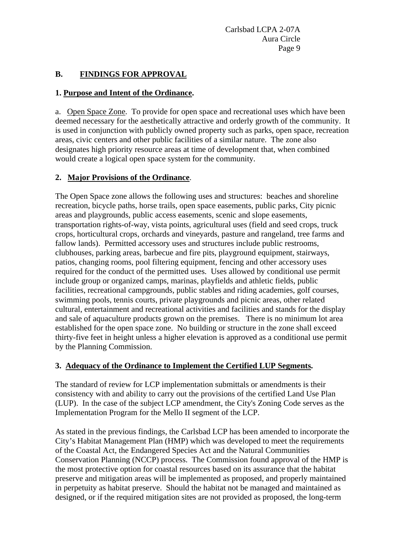#### **B. FINDINGS FOR APPROVAL**

#### **1. Purpose and Intent of the Ordinance.**

a. Open Space Zone. To provide for open space and recreational uses which have been deemed necessary for the aesthetically attractive and orderly growth of the community. It is used in conjunction with publicly owned property such as parks, open space, recreation areas, civic centers and other public facilities of a similar nature. The zone also designates high priority resource areas at time of development that, when combined would create a logical open space system for the community.

#### **2. Major Provisions of the Ordinance**.

The Open Space zone allows the following uses and structures: beaches and shoreline recreation, bicycle paths, horse trails, open space easements, public parks, City picnic areas and playgrounds, public access easements, scenic and slope easements, transportation rights-of-way, vista points, agricultural uses (field and seed crops, truck crops, horticultural crops, orchards and vineyards, pasture and rangeland, tree farms and fallow lands). Permitted accessory uses and structures include public restrooms, clubhouses, parking areas, barbecue and fire pits, playground equipment, stairways, patios, changing rooms, pool filtering equipment, fencing and other accessory uses required for the conduct of the permitted uses. Uses allowed by conditional use permit include group or organized camps, marinas, playfields and athletic fields, public facilities, recreational campgrounds, public stables and riding academies, golf courses, swimming pools, tennis courts, private playgrounds and picnic areas, other related cultural, entertainment and recreational activities and facilities and stands for the display and sale of aquaculture products grown on the premises. There is no minimum lot area established for the open space zone. No building or structure in the zone shall exceed thirty-five feet in height unless a higher elevation is approved as a conditional use permit by the Planning Commission.

#### **3. Adequacy of the Ordinance to Implement the Certified LUP Segments.**

The standard of review for LCP implementation submittals or amendments is their consistency with and ability to carry out the provisions of the certified Land Use Plan (LUP). In the case of the subject LCP amendment, the City's Zoning Code serves as the Implementation Program for the Mello II segment of the LCP.

As stated in the previous findings, the Carlsbad LCP has been amended to incorporate the City's Habitat Management Plan (HMP) which was developed to meet the requirements of the Coastal Act, the Endangered Species Act and the Natural Communities Conservation Planning (NCCP) process. The Commission found approval of the HMP is the most protective option for coastal resources based on its assurance that the habitat preserve and mitigation areas will be implemented as proposed, and properly maintained in perpetuity as habitat preserve. Should the habitat not be managed and maintained as designed, or if the required mitigation sites are not provided as proposed, the long-term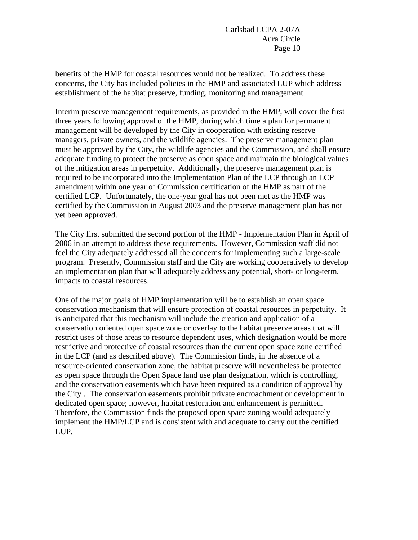benefits of the HMP for coastal resources would not be realized. To address these concerns, the City has included policies in the HMP and associated LUP which address establishment of the habitat preserve, funding, monitoring and management.

Interim preserve management requirements, as provided in the HMP, will cover the first three years following approval of the HMP, during which time a plan for permanent management will be developed by the City in cooperation with existing reserve managers, private owners, and the wildlife agencies. The preserve management plan must be approved by the City, the wildlife agencies and the Commission, and shall ensure adequate funding to protect the preserve as open space and maintain the biological values of the mitigation areas in perpetuity. Additionally, the preserve management plan is required to be incorporated into the Implementation Plan of the LCP through an LCP amendment within one year of Commission certification of the HMP as part of the certified LCP. Unfortunately, the one-year goal has not been met as the HMP was certified by the Commission in August 2003 and the preserve management plan has not yet been approved.

The City first submitted the second portion of the HMP - Implementation Plan in April of 2006 in an attempt to address these requirements. However, Commission staff did not feel the City adequately addressed all the concerns for implementing such a large-scale program. Presently, Commission staff and the City are working cooperatively to develop an implementation plan that will adequately address any potential, short- or long-term, impacts to coastal resources.

One of the major goals of HMP implementation will be to establish an open space conservation mechanism that will ensure protection of coastal resources in perpetuity. It is anticipated that this mechanism will include the creation and application of a conservation oriented open space zone or overlay to the habitat preserve areas that will restrict uses of those areas to resource dependent uses, which designation would be more restrictive and protective of coastal resources than the current open space zone certified in the LCP (and as described above). The Commission finds, in the absence of a resource-oriented conservation zone, the habitat preserve will nevertheless be protected as open space through the Open Space land use plan designation, which is controlling, and the conservation easements which have been required as a condition of approval by the City . The conservation easements prohibit private encroachment or development in dedicated open space; however, habitat restoration and enhancement is permitted. Therefore, the Commission finds the proposed open space zoning would adequately implement the HMP/LCP and is consistent with and adequate to carry out the certified LUP.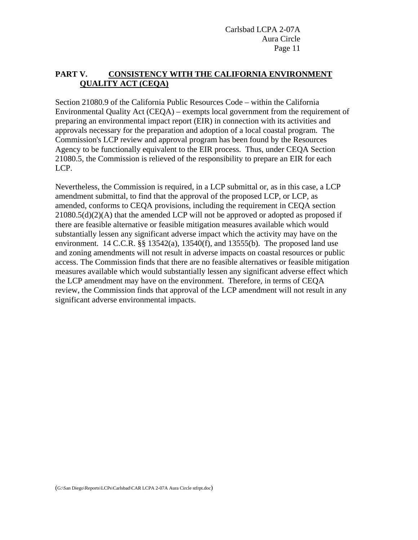# **PART V. CONSISTENCY WITH THE CALIFORNIA ENVIRONMENT QUALITY ACT (CEQA)**

Section 21080.9 of the California Public Resources Code – within the California Environmental Quality Act (CEQA) – exempts local government from the requirement of preparing an environmental impact report (EIR) in connection with its activities and approvals necessary for the preparation and adoption of a local coastal program. The Commission's LCP review and approval program has been found by the Resources Agency to be functionally equivalent to the EIR process. Thus, under CEQA Section 21080.5, the Commission is relieved of the responsibility to prepare an EIR for each LCP.

Nevertheless, the Commission is required, in a LCP submittal or, as in this case, a LCP amendment submittal, to find that the approval of the proposed LCP, or LCP, as amended, conforms to CEQA provisions, including the requirement in CEQA section  $21080.5(d)(2)(A)$  that the amended LCP will not be approved or adopted as proposed if there are feasible alternative or feasible mitigation measures available which would substantially lessen any significant adverse impact which the activity may have on the environment. 14 C.C.R. §§ 13542(a), 13540(f), and 13555(b). The proposed land use and zoning amendments will not result in adverse impacts on coastal resources or public access. The Commission finds that there are no feasible alternatives or feasible mitigation measures available which would substantially lessen any significant adverse effect which the LCP amendment may have on the environment. Therefore, in terms of CEQA review, the Commission finds that approval of the LCP amendment will not result in any significant adverse environmental impacts.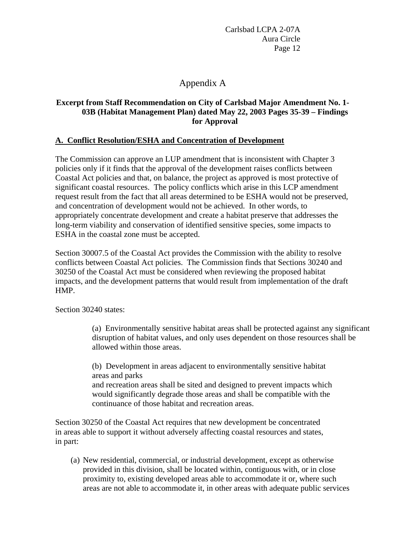# Appendix A

# **Excerpt from Staff Recommendation on City of Carlsbad Major Amendment No. 1- 03B (Habitat Management Plan) dated May 22, 2003 Pages 35-39 – Findings for Approval**

#### **A. Conflict Resolution/ESHA and Concentration of Development**

The Commission can approve an LUP amendment that is inconsistent with Chapter 3 policies only if it finds that the approval of the development raises conflicts between Coastal Act policies and that, on balance, the project as approved is most protective of significant coastal resources. The policy conflicts which arise in this LCP amendment request result from the fact that all areas determined to be ESHA would not be preserved, and concentration of development would not be achieved. In other words, to appropriately concentrate development and create a habitat preserve that addresses the long-term viability and conservation of identified sensitive species, some impacts to ESHA in the coastal zone must be accepted.

Section 30007.5 of the Coastal Act provides the Commission with the ability to resolve conflicts between Coastal Act policies. The Commission finds that Sections 30240 and 30250 of the Coastal Act must be considered when reviewing the proposed habitat impacts, and the development patterns that would result from implementation of the draft HMP.

Section 30240 states:

 (a) Environmentally sensitive habitat areas shall be protected against any significant disruption of habitat values, and only uses dependent on those resources shall be allowed within those areas.

(b) Development in areas adjacent to environmentally sensitive habitat areas and parks and recreation areas shall be sited and designed to prevent impacts which would significantly degrade those areas and shall be compatible with the continuance of those habitat and recreation areas.

Section 30250 of the Coastal Act requires that new development be concentrated in areas able to support it without adversely affecting coastal resources and states, in part:

(a) New residential, commercial, or industrial development, except as otherwise provided in this division, shall be located within, contiguous with, or in close proximity to, existing developed areas able to accommodate it or, where such areas are not able to accommodate it, in other areas with adequate public services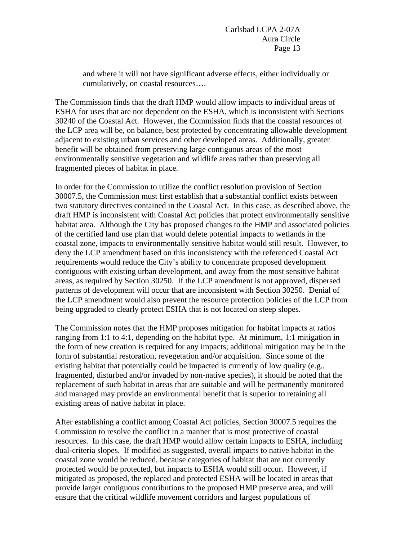and where it will not have significant adverse effects, either individually or cumulatively, on coastal resources….

The Commission finds that the draft HMP would allow impacts to individual areas of ESHA for uses that are not dependent on the ESHA, which is inconsistent with Sections 30240 of the Coastal Act. However, the Commission finds that the coastal resources of the LCP area will be, on balance, best protected by concentrating allowable development adjacent to existing urban services and other developed areas. Additionally, greater benefit will be obtained from preserving large contiguous areas of the most environmentally sensitive vegetation and wildlife areas rather than preserving all fragmented pieces of habitat in place.

In order for the Commission to utilize the conflict resolution provision of Section 30007.5, the Commission must first establish that a substantial conflict exists between two statutory directives contained in the Coastal Act. In this case, as described above, the draft HMP is inconsistent with Coastal Act policies that protect environmentally sensitive habitat area. Although the City has proposed changes to the HMP and associated policies of the certified land use plan that would delete potential impacts to wetlands in the coastal zone, impacts to environmentally sensitive habitat would still result. However, to deny the LCP amendment based on this inconsistency with the referenced Coastal Act requirements would reduce the City's ability to concentrate proposed development contiguous with existing urban development, and away from the most sensitive habitat areas, as required by Section 30250. If the LCP amendment is not approved, dispersed patterns of development will occur that are inconsistent with Section 30250. Denial of the LCP amendment would also prevent the resource protection policies of the LCP from being upgraded to clearly protect ESHA that is not located on steep slopes.

The Commission notes that the HMP proposes mitigation for habitat impacts at ratios ranging from 1:1 to 4:1, depending on the habitat type. At minimum, 1:1 mitigation in the form of new creation is required for any impacts; additional mitigation may be in the form of substantial restoration, revegetation and/or acquisition. Since some of the existing habitat that potentially could be impacted is currently of low quality (e.g., fragmented, disturbed and/or invaded by non-native species), it should be noted that the replacement of such habitat in areas that are suitable and will be permanently monitored and managed may provide an environmental benefit that is superior to retaining all existing areas of native habitat in place.

After establishing a conflict among Coastal Act policies, Section 30007.5 requires the Commission to resolve the conflict in a manner that is most protective of coastal resources. In this case, the draft HMP would allow certain impacts to ESHA, including dual-criteria slopes. If modified as suggested, overall impacts to native habitat in the coastal zone would be reduced, because categories of habitat that are not currently protected would be protected, but impacts to ESHA would still occur. However, if mitigated as proposed, the replaced and protected ESHA will be located in areas that provide larger contiguous contributions to the proposed HMP preserve area, and will ensure that the critical wildlife movement corridors and largest populations of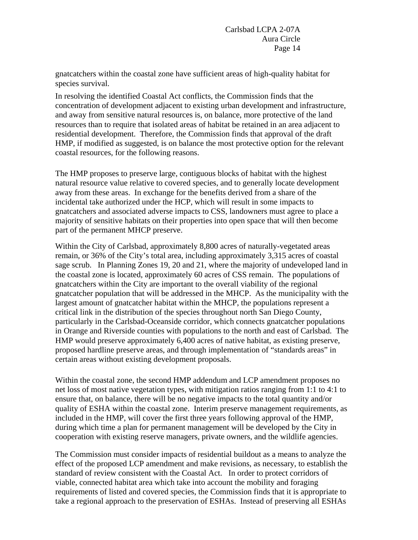gnatcatchers within the coastal zone have sufficient areas of high-quality habitat for species survival.

In resolving the identified Coastal Act conflicts, the Commission finds that the concentration of development adjacent to existing urban development and infrastructure, and away from sensitive natural resources is, on balance, more protective of the land resources than to require that isolated areas of habitat be retained in an area adjacent to residential development. Therefore, the Commission finds that approval of the draft HMP, if modified as suggested, is on balance the most protective option for the relevant coastal resources, for the following reasons.

The HMP proposes to preserve large, contiguous blocks of habitat with the highest natural resource value relative to covered species, and to generally locate development away from these areas. In exchange for the benefits derived from a share of the incidental take authorized under the HCP, which will result in some impacts to gnatcatchers and associated adverse impacts to CSS, landowners must agree to place a majority of sensitive habitats on their properties into open space that will then become part of the permanent MHCP preserve.

Within the City of Carlsbad, approximately 8,800 acres of naturally-vegetated areas remain, or 36% of the City's total area, including approximately 3,315 acres of coastal sage scrub. In Planning Zones 19, 20 and 21, where the majority of undeveloped land in the coastal zone is located, approximately 60 acres of CSS remain. The populations of gnatcatchers within the City are important to the overall viability of the regional gnatcatcher population that will be addressed in the MHCP. As the municipality with the largest amount of gnatcatcher habitat within the MHCP, the populations represent a critical link in the distribution of the species throughout north San Diego County, particularly in the Carlsbad-Oceanside corridor, which connects gnatcatcher populations in Orange and Riverside counties with populations to the north and east of Carlsbad. The HMP would preserve approximately 6,400 acres of native habitat, as existing preserve, proposed hardline preserve areas, and through implementation of "standards areas" in certain areas without existing development proposals.

Within the coastal zone, the second HMP addendum and LCP amendment proposes no net loss of most native vegetation types, with mitigation ratios ranging from 1:1 to 4:1 to ensure that, on balance, there will be no negative impacts to the total quantity and/or quality of ESHA within the coastal zone. Interim preserve management requirements, as included in the HMP, will cover the first three years following approval of the HMP, during which time a plan for permanent management will be developed by the City in cooperation with existing reserve managers, private owners, and the wildlife agencies.

The Commission must consider impacts of residential buildout as a means to analyze the effect of the proposed LCP amendment and make revisions, as necessary, to establish the standard of review consistent with the Coastal Act. In order to protect corridors of viable, connected habitat area which take into account the mobility and foraging requirements of listed and covered species, the Commission finds that it is appropriate to take a regional approach to the preservation of ESHAs. Instead of preserving all ESHAs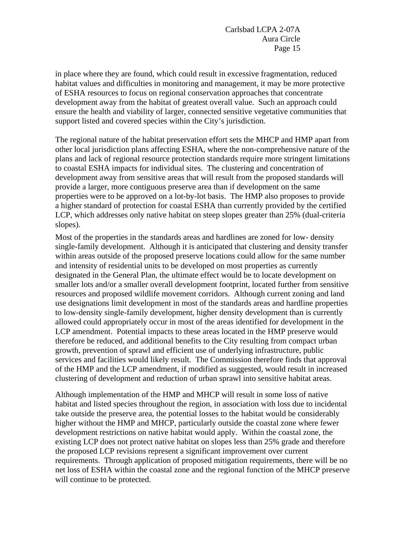in place where they are found, which could result in excessive fragmentation, reduced habitat values and difficulties in monitoring and management, it may be more protective of ESHA resources to focus on regional conservation approaches that concentrate development away from the habitat of greatest overall value. Such an approach could ensure the health and viability of larger, connected sensitive vegetative communities that support listed and covered species within the City's jurisdiction.

The regional nature of the habitat preservation effort sets the MHCP and HMP apart from other local jurisdiction plans affecting ESHA, where the non-comprehensive nature of the plans and lack of regional resource protection standards require more stringent limitations to coastal ESHA impacts for individual sites. The clustering and concentration of development away from sensitive areas that will result from the proposed standards will provide a larger, more contiguous preserve area than if development on the same properties were to be approved on a lot-by-lot basis. The HMP also proposes to provide a higher standard of protection for coastal ESHA than currently provided by the certified LCP, which addresses only native habitat on steep slopes greater than 25% (dual-criteria slopes).

Most of the properties in the standards areas and hardlines are zoned for low- density single-family development. Although it is anticipated that clustering and density transfer within areas outside of the proposed preserve locations could allow for the same number and intensity of residential units to be developed on most properties as currently designated in the General Plan, the ultimate effect would be to locate development on smaller lots and/or a smaller overall development footprint, located further from sensitive resources and proposed wildlife movement corridors. Although current zoning and land use designations limit development in most of the standards areas and hardline properties to low-density single-family development, higher density development than is currently allowed could appropriately occur in most of the areas identified for development in the LCP amendment. Potential impacts to these areas located in the HMP preserve would therefore be reduced, and additional benefits to the City resulting from compact urban growth, prevention of sprawl and efficient use of underlying infrastructure, public services and facilities would likely result. The Commission therefore finds that approval of the HMP and the LCP amendment, if modified as suggested, would result in increased clustering of development and reduction of urban sprawl into sensitive habitat areas.

Although implementation of the HMP and MHCP will result in some loss of native habitat and listed species throughout the region, in association with loss due to incidental take outside the preserve area, the potential losses to the habitat would be considerably higher without the HMP and MHCP, particularly outside the coastal zone where fewer development restrictions on native habitat would apply. Within the coastal zone, the existing LCP does not protect native habitat on slopes less than 25% grade and therefore the proposed LCP revisions represent a significant improvement over current requirements. Through application of proposed mitigation requirements, there will be no net loss of ESHA within the coastal zone and the regional function of the MHCP preserve will continue to be protected.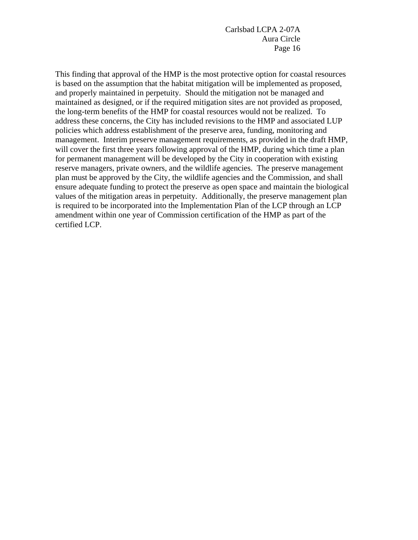This finding that approval of the HMP is the most protective option for coastal resources is based on the assumption that the habitat mitigation will be implemented as proposed, and properly maintained in perpetuity. Should the mitigation not be managed and maintained as designed, or if the required mitigation sites are not provided as proposed, the long-term benefits of the HMP for coastal resources would not be realized. To address these concerns, the City has included revisions to the HMP and associated LUP policies which address establishment of the preserve area, funding, monitoring and management. Interim preserve management requirements, as provided in the draft HMP, will cover the first three years following approval of the HMP, during which time a plan for permanent management will be developed by the City in cooperation with existing reserve managers, private owners, and the wildlife agencies. The preserve management plan must be approved by the City, the wildlife agencies and the Commission, and shall ensure adequate funding to protect the preserve as open space and maintain the biological values of the mitigation areas in perpetuity. Additionally, the preserve management plan is required to be incorporated into the Implementation Plan of the LCP through an LCP amendment within one year of Commission certification of the HMP as part of the certified LCP.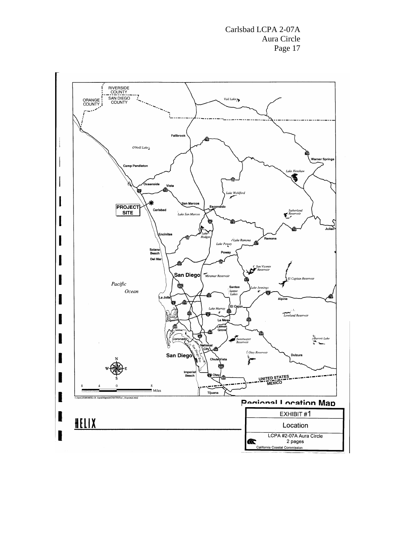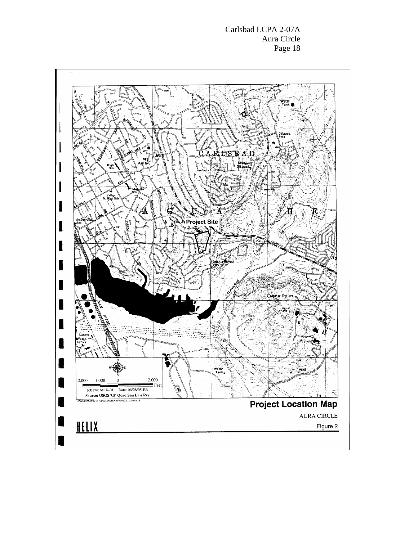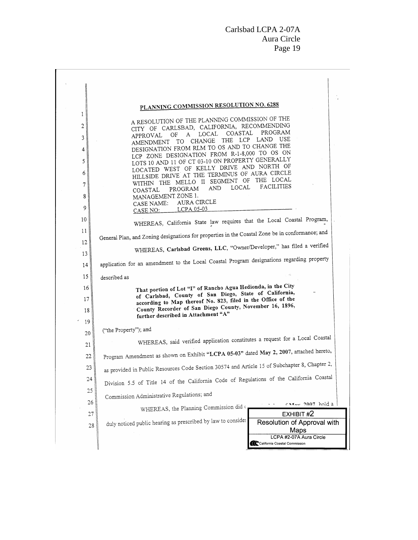|          | PLANNING COMMISSION RESOLUTION NO. 6288                                                                                        |
|----------|--------------------------------------------------------------------------------------------------------------------------------|
| 1<br>2   | A RESOLUTION OF THE PLANNING COMMISSION OF THE<br>CITY OF CARLSBAD, CALIFORNIA, RECOMMENDING<br>PROGRAM<br>${\tt COASTAL}$     |
| 3        | LOCAL<br>ΟF<br>$A^{\perp}$<br>APPROVAL<br>TO CHANGE THE LCP LAND<br>USE<br>AMENDMENT                                           |
| 4        | DESIGNATION FROM RLM TO OS AND TO CHANGE THE<br>LCP ZONE DESIGNATION FROM R-1-8,000 TO OS ON                                   |
| 5        | LOTS 10 AND 11 OF CT 03-10 ON PROPERTY GENERALLY                                                                               |
| 6        | LOCATED WEST OF KELLY DRIVE AND NORTH OF<br>HILLSIDE DRIVE AT THE TERMINUS OF AURA CIRCLE                                      |
| 7        | WITHIN THE MELLO II SEGMENT OF THE LOCAL<br><b>FACILITIES</b><br>$_{\mbox{\small\textsf{LOCAL}}}$<br>AND<br>PROGRAM<br>COASTAL |
| 8        | MANAGEMENT ZONE 1.                                                                                                             |
| 9        | AURA CIRCLE<br>CASE NAME:<br>LCPA 05-03<br>CASE NO:                                                                            |
| 10       | WHEREAS, California State law requires that the Local Coastal Program,                                                         |
| 11       | General Plan, and Zoning designations for properties in the Coastal Zone be in conformance; and                                |
| 12       | WHEREAS, Carlsbad Greens, LLC, "Owner/Developer," has filed a verified                                                         |
| 13       | application for an amendment to the Local Coastal Program designations regarding property                                      |
| 14       |                                                                                                                                |
| 15       | described as                                                                                                                   |
| 16       | That portion of Lot "I" of Rancho Agua Hedionda, in the City<br>of Carlsbad, County of San Diego, State of California,         |
| 17<br>18 | according to Map thereof No. 823, filed in the Office of the<br>County Recorder of San Diego County, November 16, 1896,        |
| 19       | further described in Attachment "A"                                                                                            |
| 20       | ("the Property"); and                                                                                                          |
| 21       | WHEREAS, said verified application constitutes a request for a Local Coastal                                                   |
| 22       | Program Amendment as shown on Exhibit "LCPA 05-03" dated May 2, 2007, attached hereto,                                         |
| 23       | as provided in Public Resources Code Section 30574 and Article 15 of Subchapter 8, Chapter 2,                                  |
| 24       | Division 5.5 of Title 14 of the California Code of Regulations of the California Coastal                                       |
| 25       | Commission Administrative Regulations; and                                                                                     |
| 26       | rarow 2007 hold a<br>WHEREAS, the Planning Commission did (                                                                    |
| 27       | EXHIBIT #2                                                                                                                     |
| 28       | duly noticed public hearing as prescribed by law to consider<br>Resolution of Approval with<br>Maps                            |
|          | LCPA #2-07A Aura Circle<br>California Coastal Commission                                                                       |
|          |                                                                                                                                |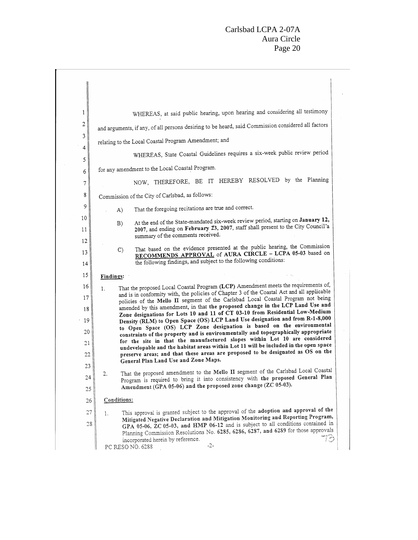| 1        | WHEREAS, at said public hearing, upon hearing and considering all testimony                                                                                                         |
|----------|-------------------------------------------------------------------------------------------------------------------------------------------------------------------------------------|
| 2        | and arguments, if any, of all persons desiring to be heard, said Commission considered all factors                                                                                  |
| 3        | relating to the Local Coastal Program Amendment; and                                                                                                                                |
| 4        | WHEREAS, State Coastal Guidelines requires a six-week public review period                                                                                                          |
| 5<br>6   | for any amendment to the Local Coastal Program.                                                                                                                                     |
| 7        | NOW, THEREFORE, BE IT HEREBY RESOLVED by the Planning                                                                                                                               |
| 8        | Commission of the City of Carlsbad, as follows:                                                                                                                                     |
| 9        | That the foregoing recitations are true and correct.<br>A)                                                                                                                          |
| 10       | At the end of the State-mandated six-week review period, starting on January 12,<br>B)                                                                                              |
| 11       | 2007, and ending on February 23, 2007, staff shall present to the City Council <sup>-</sup> a<br>summary of the comments received.                                                  |
| 12       | That based on the evidence presented at the public hearing, the Commission<br>$\mathcal{C}$                                                                                         |
| 13<br>14 | RECOMMENDS APPROVAL of AURA CIRCLE - LCPA 05-03 based on<br>the following findings, and subject to the following conditions:                                                        |
| 15       | Findings:                                                                                                                                                                           |
| 16       | That the proposed Local Coastal Program (LCP) Amendment meets the requirements of,<br>1.                                                                                            |
| 17       | and is in conformity with, the policies of Chapter 3 of the Coastal Act and all applicable<br>policies of the Mello II segment of the Carlsbad Local Coastal Program not being      |
| 18       | amended by this amendment, in that the proposed change in the LCP Land Use and<br>Zone designations for Lots 10 and 11 of CT 03-10 from Residential Low-Medium                      |
| -19      | Density (RLM) to Open Space (OS) LCP Land Use designation and from R-1-8,000<br>to Open Space (OS) LCP Zone designation is based on the environmental<br>20                         |
|          | constraints of the property and is environmentally and topographically appropriate<br>for the site in that the manufactured slopes within Lot 10 are considered<br>21               |
|          | undevelopable and the habitat areas within Lot 11 will be included in the open space<br>preserve areas; and that these areas are proposed to be designated as OS on the<br>22       |
|          | General Plan Land Use and Zone Maps.<br>23                                                                                                                                          |
|          | That the proposed amendment to the Mello II segment of the Carlsbad Local Coastal<br>2.<br>Program is required to bring it into consistency with the proposed General Plan<br>24    |
|          | Amendment (GPA 05-06) and the proposed zone change (ZC 05-03).<br>25                                                                                                                |
|          | Conditions:<br>26                                                                                                                                                                   |
|          | This approval is granted subject to the approval of the adoption and approval of the<br>27<br>1.<br>Mitigated Negative Declaration and Mitigation Monitoring and Reporting Program, |
|          | GPA 05-06, ZC 05-03, and HMP 06-12 and is subject to all conditions contained in<br>28<br>Planning Commission Resolutions No. 6285, 6286, 6287, and 6289 for those approvals        |
|          | incorporated herein by reference.<br>$-2-$<br>PC RESONO, 6288                                                                                                                       |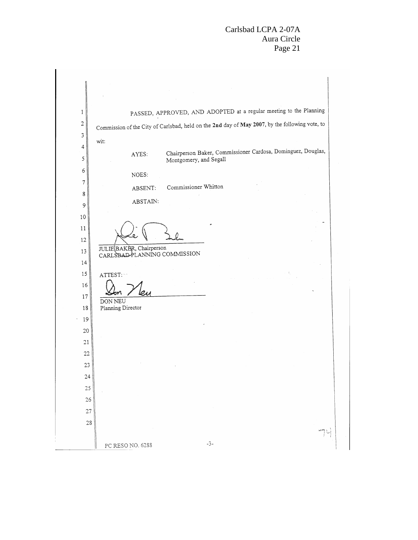| 1                 | PASSED, APPROVED, AND ADOPTED at a regular meeting to the Planning                              |
|-------------------|-------------------------------------------------------------------------------------------------|
| $\sqrt{2}$        | Commission of the City of Carlsbad, held on the 2nd day of May 2007, by the following vote, to  |
| $\mathfrak I$     | wit.                                                                                            |
| 4<br>5            | Chairperson Baker, Commissioner Cardosa, Dominguez, Douglas,<br>AYES:<br>Montgomery, and Segall |
| 6                 | NOES:                                                                                           |
| $\boldsymbol{7}$  | Commissioner Whitton<br>ABSENT:                                                                 |
| 8                 | ABSTAIN:                                                                                        |
| 9                 |                                                                                                 |
| 10                |                                                                                                 |
| 11<br>12          |                                                                                                 |
| 13                | JULIE BAKER, Chairperson<br>CARLSBAD-PLANNING COMMISSION                                        |
| 14                |                                                                                                 |
| 15                | ATTEST:                                                                                         |
| 16                | مەك                                                                                             |
| 17                | DON NEU                                                                                         |
| 18<br>×,          | Planning Director                                                                               |
| 19<br>20          |                                                                                                 |
| 21                |                                                                                                 |
| 22                |                                                                                                 |
| 23                |                                                                                                 |
| 24                |                                                                                                 |
| 25                |                                                                                                 |
| 26                |                                                                                                 |
| 27<br>$2\sqrt{8}$ |                                                                                                 |
|                   |                                                                                                 |
|                   | $-3-$<br>PC RESONO. 6288                                                                        |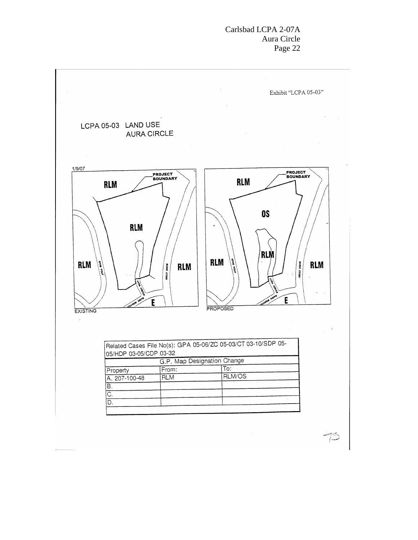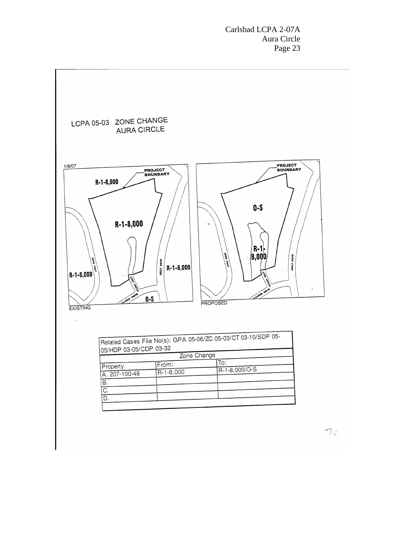

 $\begin{picture}(20,10) \put(0,0){\line(1,0){10}} \put(15,0){\line(1,0){10}} \put(15,0){\line(1,0){10}} \put(15,0){\line(1,0){10}} \put(15,0){\line(1,0){10}} \put(15,0){\line(1,0){10}} \put(15,0){\line(1,0){10}} \put(15,0){\line(1,0){10}} \put(15,0){\line(1,0){10}} \put(15,0){\line(1,0){10}} \put(15,0){\line(1,0){10}} \put(15,0){\line(1$